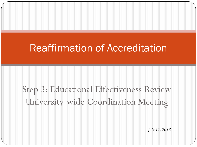### Reaffirmation of Accreditation

# Step 3: Educational Effectiveness Review University-wide Coordination Meeting

*July 17, 2013*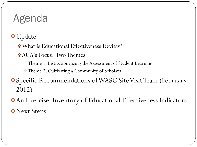## Agenda

**V**•Update

What is Educational Effectiveness Review?

AUA's Focus: Two Themes

Theme 1: Institutionalizing the Assessment of Student Learning

Theme 2: Cultivating a Community of Scholars

Specific Recommendations of WASC Site Visit Team (February 2012)

An Exercise: Inventory of Educational Effectiveness Indicators Next Steps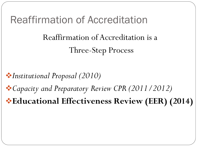### Reaffirmation of Accreditation

Reaffirmation of Accreditation is a Three-Step Process

*Institutional Proposal (2010) Capacity and Preparatory Review CPR (2011/2012)* **Educational Effectiveness Review (EER) (2014)**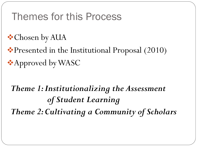#### Themes for this Process

- **Chosen by AUA**
- ◆ Presented in the Institutional Proposal (2010) **★Approved by WASC**

## *Theme 1: Institutionalizing the Assessment of Student Learning Theme 2: Cultivating a Community of Scholars*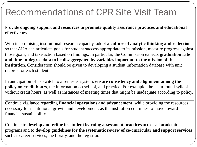#### Recommendations of CPR Site Visit Team

Provide **ongoing support and resources to promote quality assurance practices and educational**  effectiveness.

With its promising institutional research capacity, adopt **a culture of analytic thinking and reflection**  so that AUA can articulate goals for student success appropriate to its mission, measure progress against those goals, and take action based on findings. In particular, the Commission expects **graduation rate and time-to-degree data to be disaggregated by variables important to the mission of the institution.** Consideration should be given to developing a student information database with unit records for each student.

In anticipation of its switch to a semester system, **ensure consistency and alignment among the policy on credit hours**, the information on syllabi, and practice. For example, the team found syllabi without credit hours, as well as instances of meeting times that might be inadequate according to policy.

Continue vigilance regarding **financial operations and advancement**, while providing the resources necessary for institutional growth and development, as the institution continues to move toward financial sustainability.

Continue to **develop and refine its student learning assessment practices** across all academic programs and to **develop guidelines for the systematic review of co-curricular and support services**  such as career services, the library, and the registrar.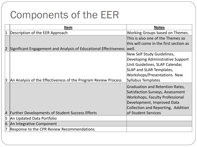### Components of the EER

|           | <u>Item</u>                                                      | <b>Notes</b>                                                                                                                                                                                       |
|-----------|------------------------------------------------------------------|----------------------------------------------------------------------------------------------------------------------------------------------------------------------------------------------------|
|           | Description of the EER Approach                                  | Working Groups based on Themes.                                                                                                                                                                    |
|           |                                                                  | This is also one of the Themes so<br>this will come in the first section as                                                                                                                        |
|           | Significant Engagement and Analysis of Educational Effectiveness | well.                                                                                                                                                                                              |
| 3         | An Analysis of the Effectiveness of the Program Review Process   | New Self Study Guidelines,<br>Developing Administrative Support<br>Unit Guidelines, SLAP Calendar,<br><b>SLAP and SLAR Templates,</b><br>Workshops/Presentations. New<br><b>Syllabus Templates</b> |
|           |                                                                  | Graduation and Retention Rates,<br>Satisfaction Surveys, Assessment<br>Workshops, Faculty Professional<br>Development, Improved Data<br>Collection and Reporting, Addition                         |
| $\vert 4$ | <b>Further Developments of Student Success Efforts</b>           | of Student Services                                                                                                                                                                                |
| 5         | An Updated Data Portfolio                                        |                                                                                                                                                                                                    |
| 6         | An Integrative Component                                         |                                                                                                                                                                                                    |
|           | Response to the CPR Review Recommendations                       |                                                                                                                                                                                                    |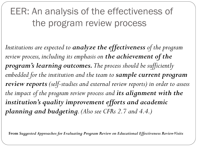EER: An analysis of the effectiveness of the program review process

*Institutions are expected to analyze the effectiveness of the program review process, including its emphasis on the achievement of the program's learning outcomes. The process should be sufficiently embedded for the institution and the team to sample current program review reports (self-studies and external review reports) in order to assess the impact of the program review process and its alignment with the institution's quality improvement efforts and academic planning and budgeting. (Also see CFRs 2.7 and 4.4.)*

**From** *Suggested Approaches for Evaluating Program Review on Educational Effectiveness Review Visits*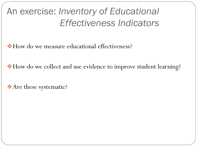### An exercise: *Inventory of Educational Effectiveness Indicators*

How do we measure educational effectiveness?

How do we collect and use evidence to improve student learning?

\* Are these systematic?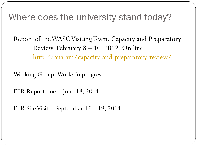#### Where does the university stand today?

Report of the WASC Visiting Team, Capacity and Preparatory Review. February 8 – 10, 2012. On line:

<http://aua.am/capacity-and-preparatory-review/>

Working Groups Work: In progress

EER Report due – June 18, 2014

EER Site Visit – September 15 – 19, 2014